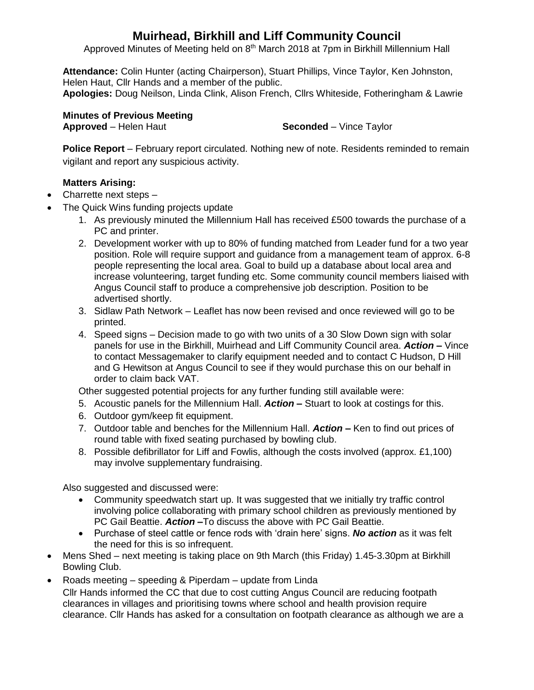# **Muirhead, Birkhill and Liff Community Council**

Approved Minutes of Meeting held on 8<sup>th</sup> March 2018 at 7pm in Birkhill Millennium Hall

**Attendance:** Colin Hunter (acting Chairperson), Stuart Phillips, Vince Taylor, Ken Johnston, Helen Haut, Cllr Hands and a member of the public. **Apologies:** Doug Neilson, Linda Clink, Alison French, Cllrs Whiteside, Fotheringham & Lawrie

**Minutes of Previous Meeting** 

**Approved** – Helen Haut **Seconded** – Vince Taylor

**Police Report** – February report circulated. Nothing new of note. Residents reminded to remain vigilant and report any suspicious activity.

## **Matters Arising:**

- Charrette next steps –
- The Quick Wins funding projects update
	- 1. As previously minuted the Millennium Hall has received £500 towards the purchase of a PC and printer.
	- 2. Development worker with up to 80% of funding matched from Leader fund for a two year position. Role will require support and guidance from a management team of approx. 6-8 people representing the local area. Goal to build up a database about local area and increase volunteering, target funding etc. Some community council members liaised with Angus Council staff to produce a comprehensive job description. Position to be advertised shortly.
	- 3. Sidlaw Path Network Leaflet has now been revised and once reviewed will go to be printed.
	- 4. Speed signs Decision made to go with two units of a 30 Slow Down sign with solar panels for use in the Birkhill, Muirhead and Liff Community Council area. *Action –* Vince to contact Messagemaker to clarify equipment needed and to contact C Hudson, D Hill and G Hewitson at Angus Council to see if they would purchase this on our behalf in order to claim back VAT.

Other suggested potential projects for any further funding still available were:

- 5. Acoustic panels for the Millennium Hall. *Action –* Stuart to look at costings for this.
- 6. Outdoor gym/keep fit equipment.
- 7. Outdoor table and benches for the Millennium Hall. *Action –* Ken to find out prices of round table with fixed seating purchased by bowling club.
- 8. Possible defibrillator for Liff and Fowlis, although the costs involved (approx. £1,100) may involve supplementary fundraising.

Also suggested and discussed were:

- Community speedwatch start up. It was suggested that we initially try traffic control involving police collaborating with primary school children as previously mentioned by PC Gail Beattie. *Action –*To discuss the above with PC Gail Beattie.
- Purchase of steel cattle or fence rods with 'drain here' signs. *No action* as it was felt the need for this is so infrequent.
- Mens Shed next meeting is taking place on 9th March (this Friday) 1.45-3.30pm at Birkhill Bowling Club.
- Roads meeting speeding & Piperdam update from Linda Cllr Hands informed the CC that due to cost cutting Angus Council are reducing footpath clearances in villages and prioritising towns where school and health provision require clearance. Cllr Hands has asked for a consultation on footpath clearance as although we are a